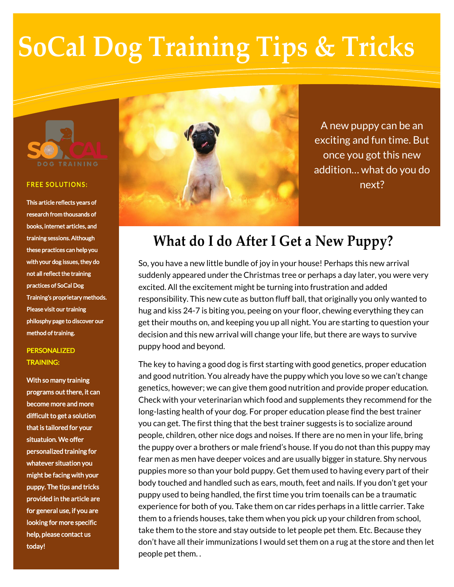# **SoCal Dog Training Tips & Tricks**



#### **FREE SOLUTIONS:**

This article reflects years of research from thousands of books, internet articles, and training sessions. Although these practices can help you with your dog issues, they do not all reflect the training practices of SoCal Dog Training's proprietary methods. Please visit our training philosphy page to discover our method of training.

### PERSONALIZED TRAINING:

With so many training programs out there, it can become more and more difficult to get a solution that is tailored for your situatuion. We offer personalized training for whatever situation you might be facing with your puppy. The tips and tricks provided in the article are for general use, if you are looking for more specific help, please contact us today!



A new puppy can be an exciting and fun time. But once you got this new addition… what do you do next?

## **What do I do After I Get a New Puppy?**

So, you have a new little bundle of joy in your house! Perhaps this new arrival suddenly appeared under the Christmas tree or perhaps a day later, you were very excited. All the excitement might be turning into frustration and added responsibility. This new cute as button fluff ball, that originally you only wanted to hug and kiss 24-7 is biting you, peeing on your floor, chewing everything they can get their mouths on, and keeping you up all night. You are starting to question your decision and this new arrival will change your life, but there are ways to survive puppy hood and beyond.

The key to having a good dog is first starting with good genetics, proper education and good nutrition. You already have the puppy which you love so we can't change genetics, however; we can give them good nutrition and provide proper education. Check with your veterinarian which food and supplements they recommend for the long-lasting health of your dog. For proper education please find the best trainer you can get. The first thing that the best trainer suggests is to socialize around people, children, other nice dogs and noises. If there are no men in your life, bring the puppy over a brothers or male friend's house. If you do not than this puppy may fear men as men have deeper voices and are usually bigger in stature. Shy nervous puppies more so than your bold puppy. Get them used to having every part of their body touched and handled such as ears, mouth, feet and nails. If you don't get your puppy used to being handled, the first time you trim toenails can be a traumatic experience for both of you. Take them on car rides perhaps in a little carrier. Take them to a friends houses, take them when you pick up your children from school, take them to the store and stay outside to let people pet them. Etc. Because they don't have all their immunizations I would set them on a rug at the store and then let people pet them. .